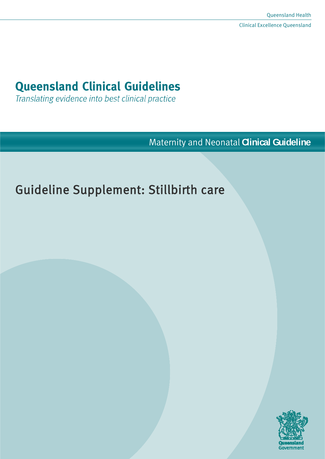# **Queensland Clinical Guidelines**

Translating evidence into best clinical practice

Maternity and Neonatal **Clinical Guideline**

# Guideline Supplement: Stillbirth care

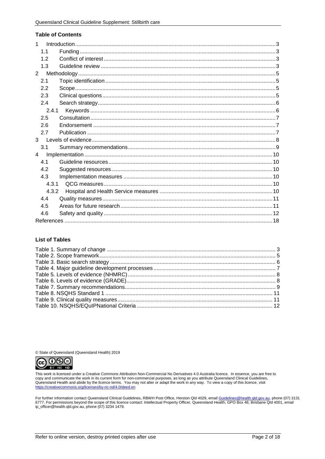#### **Table of Contents**

| 1            |  |
|--------------|--|
| 1.1          |  |
| 1.2          |  |
| 1.3          |  |
| 2            |  |
| 2.1          |  |
| 2.2          |  |
| 2.3          |  |
| 2.4          |  |
| 2.4.1        |  |
| 2.5          |  |
| 2.6          |  |
| 2.7          |  |
| $\mathbf{3}$ |  |
| 3.1          |  |
| 4            |  |
| 41           |  |
| 4.2          |  |
| 4.3          |  |
| 4.3.1        |  |
| 4.3.2        |  |
| 4.4          |  |
| 4.5          |  |
| 4.6          |  |
|              |  |

#### **List of Tables**

© State of Queensland (Queensland Health) 2019



This work is licensed under a Creative Commons Attribution Non-Commercial No Derivatives 4.0 Australia licence. In essence, you are free to This work is discussed under the work in its current form for non-commercial purposes, as long as you attribute Queensland Clinical Guidelines,<br>Queensland Health and abide by the licence terms. You may not alter or adapt t

For further information contact Queensland Clinical Guidelines, RBWH Post Office, Herston Qld 4029, email Guidelines@health.gld.gov.au, phone (07) 3131 6777. For permissions beyond the scope of this licence contact: Intellectual Property Officer, Queensland Health, GPO Box 48, Brisbane Qld 4001, email ip\_officer@health.qld.gov.au, phone (07) 3234 1479.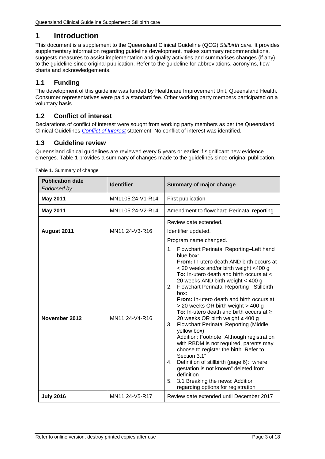# <span id="page-2-0"></span>**1 Introduction**

This document is a supplement to the Queensland Clinical Guideline (QCG) *Stillbirth care.* It provides supplementary information regarding guideline development, makes summary recommendations, suggests measures to assist implementation and quality activities and summarises changes (if any) to the guideline since original publication. Refer to the guideline for abbreviations, acronyms, flow charts and acknowledgements.

# <span id="page-2-1"></span>**1.1 Funding**

The development of this guideline was funded by Healthcare Improvement Unit, Queensland Health. Consumer representatives were paid a standard fee. Other working party members participated on a voluntary basis.

# <span id="page-2-2"></span>**1.2 Conflict of interest**

Declarations of conflict of interest were sought from working party members as per the Queensland Clinical Guidelines *[Conflict of Interest](http://www.health.qld.gov.au/qcg/development#coi)* statement. No conflict of interest was identified.

# <span id="page-2-3"></span>**1.3 Guideline review**

Queensland clinical guidelines are reviewed every 5 years or earlier if significant new evidence emerges. [Table 1](#page-2-4) provides a summary of changes made to the guidelines since original publication.

| <b>Publication date</b><br>Endorsed by: | <b>Identifier</b> | Summary of major change                                                                                                                                                                                                                                                                                                                                                                                                                                                                                                                                                                                                                                                                                                                                                                                                                                                                |
|-----------------------------------------|-------------------|----------------------------------------------------------------------------------------------------------------------------------------------------------------------------------------------------------------------------------------------------------------------------------------------------------------------------------------------------------------------------------------------------------------------------------------------------------------------------------------------------------------------------------------------------------------------------------------------------------------------------------------------------------------------------------------------------------------------------------------------------------------------------------------------------------------------------------------------------------------------------------------|
| <b>May 2011</b>                         | MN1105.24-V1-R14  | First publication                                                                                                                                                                                                                                                                                                                                                                                                                                                                                                                                                                                                                                                                                                                                                                                                                                                                      |
| <b>May 2011</b>                         | MN1105.24-V2-R14  | Amendment to flowchart: Perinatal reporting                                                                                                                                                                                                                                                                                                                                                                                                                                                                                                                                                                                                                                                                                                                                                                                                                                            |
| August 2011                             | MN11.24-V3-R16    | Review date extended.<br>Identifier updated.<br>Program name changed.                                                                                                                                                                                                                                                                                                                                                                                                                                                                                                                                                                                                                                                                                                                                                                                                                  |
| November 2012                           | MN11.24-V4-R16    | 1.<br>Flowchart Perinatal Reporting-Left hand<br>blue box:<br>From: In-utero death AND birth occurs at<br>< 20 weeks and/or birth weight <400 g<br>To: In-utero death and birth occurs at <<br>20 weeks AND birth weight < 400 g<br>Flowchart Perinatal Reporting - Stillbirth<br>2.<br>box:<br>From: In-utero death and birth occurs at<br>> 20 weeks OR birth weight > 400 g<br>To: In-utero death and birth occurs at $\geq$<br>20 weeks OR birth weight $\geq 400$ g<br><b>Flowchart Perinatal Reporting (Middle</b><br>3.<br>yellow box)<br>Addition: Footnote "Although registration<br>with RBDM is not required, parents may<br>choose to register the birth. Refer to<br>Section 3.1"<br>Definition of stillbirth (page 6): "where<br>4.<br>gestation is not known" deleted from<br>definition<br>3.1 Breaking the news: Addition<br>5.<br>regarding options for registration |
| <b>July 2016</b>                        | MN11.24-V5-R17    | Review date extended until December 2017                                                                                                                                                                                                                                                                                                                                                                                                                                                                                                                                                                                                                                                                                                                                                                                                                                               |

<span id="page-2-4"></span>Table 1. Summary of change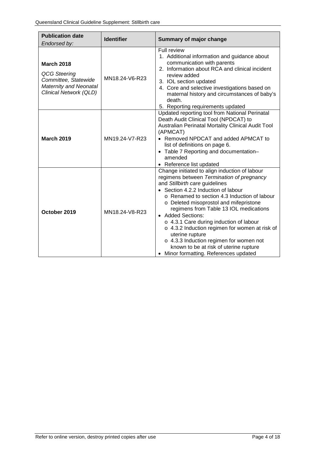| <b>Publication date</b>                                                                                              | <b>Identifier</b> | <b>Summary of major change</b>                                                                                                                                                                                                                                                                                                                                                                                                                                                                                                                                                   |  |
|----------------------------------------------------------------------------------------------------------------------|-------------------|----------------------------------------------------------------------------------------------------------------------------------------------------------------------------------------------------------------------------------------------------------------------------------------------------------------------------------------------------------------------------------------------------------------------------------------------------------------------------------------------------------------------------------------------------------------------------------|--|
| Endorsed by:                                                                                                         |                   |                                                                                                                                                                                                                                                                                                                                                                                                                                                                                                                                                                                  |  |
| <b>March 2018</b><br><b>QCG Steering</b><br>Committee, Statewide<br>Maternity and Neonatal<br>Clinical Network (QLD) | MN18.24-V6-R23    | Full review<br>1. Additional information and guidance about<br>communication with parents<br>2. Information about RCA and clinical incident<br>review added<br>3. IOL section updated<br>4. Core and selective investigations based on<br>maternal history and circumstances of baby's<br>death.<br>5. Reporting requirements updated                                                                                                                                                                                                                                            |  |
| <b>March 2019</b>                                                                                                    | MN19.24-V7-R23    | Updated reporting tool from National Perinatal<br>Death Audit Clinical Tool (NPDCAT) to<br>Australian Perinatal Mortality Clinical Audit Tool<br>(APMCAT)<br>• Removed NPDCAT and added APMCAT to<br>list of definitions on page 6.<br>Table 7 Reporting and documentation-<br>$\bullet$<br>amended<br>• Reference list updated                                                                                                                                                                                                                                                  |  |
| October 2019                                                                                                         | MN18.24-V8-R23    | Change initiated to align induction of labour<br>regimens between Termination of pregnancy<br>and Stillbirth care guidelines<br>• Section 4.2.2 Induction of labour<br>o Renamed to section 4.3 Induction of labour<br>o Deleted misoprostol and mifepristone<br>regimens from Table 13 IOL medications<br><b>Added Sections:</b><br>o 4.3.1 Care during induction of labour<br>o 4.3.2 Induction regimen for women at risk of<br>uterine rupture<br>o 4.3.3 Induction regimen for women not<br>known to be at risk of uterine rupture<br>• Minor formatting. References updated |  |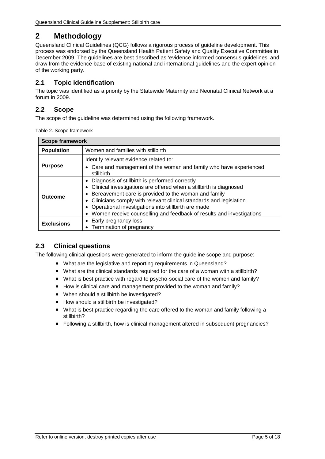# <span id="page-4-0"></span>**2 Methodology**

Queensland Clinical Guidelines (QCG) follows a rigorous process of guideline development. This process was endorsed by the Queensland Health Patient Safety and Quality Executive Committee in December 2009. The guidelines are best described as 'evidence informed consensus guidelines' and draw from the evidence base of existing national and international guidelines and the expert opinion of the working party.

# <span id="page-4-1"></span>**2.1 Topic identification**

The topic was identified as a priority by the Statewide Maternity and Neonatal Clinical Network at a forum in 2009.

# <span id="page-4-2"></span>**2.2 Scope**

<span id="page-4-4"></span>The scope of the guideline was determined using the following framework.

|  | Table 2. Scope framework |
|--|--------------------------|
|  |                          |

| <b>Scope framework</b> |                                                                                                                                                                                                                                                                                                                                                                                           |  |  |
|------------------------|-------------------------------------------------------------------------------------------------------------------------------------------------------------------------------------------------------------------------------------------------------------------------------------------------------------------------------------------------------------------------------------------|--|--|
| <b>Population</b>      | Women and families with stillbirth                                                                                                                                                                                                                                                                                                                                                        |  |  |
| <b>Purpose</b>         | Identify relevant evidence related to:<br>• Care and management of the woman and family who have experienced                                                                                                                                                                                                                                                                              |  |  |
|                        | stillbirth                                                                                                                                                                                                                                                                                                                                                                                |  |  |
| Outcome                | Diagnosis of stillbirth is performed correctly<br>• Clinical investigations are offered when a stillbirth is diagnosed<br>Bereavement care is provided to the woman and family<br>• Clinicians comply with relevant clinical standards and legislation<br>• Operational investigations into stillbirth are made<br>• Women receive counselling and feedback of results and investigations |  |  |
| <b>Exclusions</b>      | Early pregnancy loss<br>• Termination of pregnancy                                                                                                                                                                                                                                                                                                                                        |  |  |

## <span id="page-4-3"></span>**2.3 Clinical questions**

The following clinical questions were generated to inform the guideline scope and purpose:

- What are the legislative and reporting requirements in Queensland?
- What are the clinical standards required for the care of a woman with a stillbirth?
- What is best practice with regard to psycho-social care of the women and family?
- How is clinical care and management provided to the woman and family?
- When should a stillbirth be investigated?
- How should a stillbirth be investigated?
- What is best practice regarding the care offered to the woman and family following a stillbirth?
- Following a stillbirth, how is clinical management altered in subsequent pregnancies?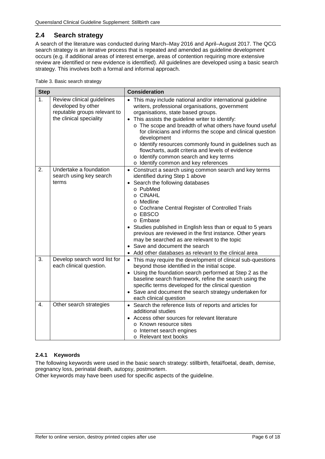# <span id="page-5-0"></span>**2.4 Search strategy**

A search of the literature was conducted during March–May 2016 and April–August 2017. The QCG search strategy is an iterative process that is repeated and amended as guideline development occurs (e.g. if additional areas of interest emerge, areas of contention requiring more extensive review are identified or new evidence is identified). All guidelines are developed using a basic search strategy. This involves both a formal and informal approach.

<span id="page-5-2"></span>

|  |  | Table 3. Basic search strategy |  |
|--|--|--------------------------------|--|
|--|--|--------------------------------|--|

| <b>Step</b> |                                                                                                             | <b>Consideration</b>                                                                                                                                                                                                                                                                                                                                                                                                                                                                                                                                 |
|-------------|-------------------------------------------------------------------------------------------------------------|------------------------------------------------------------------------------------------------------------------------------------------------------------------------------------------------------------------------------------------------------------------------------------------------------------------------------------------------------------------------------------------------------------------------------------------------------------------------------------------------------------------------------------------------------|
| 1.          | Review clinical guidelines<br>developed by other<br>reputable groups relevant to<br>the clinical speciality | • This may include national and/or international guideline<br>writers, professional organisations, government<br>organisations, state based groups.<br>• This assists the guideline writer to identify:<br>o The scope and breadth of what others have found useful<br>for clinicians and informs the scope and clinical question<br>development<br>o Identify resources commonly found in guidelines such as<br>flowcharts, audit criteria and levels of evidence<br>o Identify common search and key terms<br>o Identify common and key references |
| 2.          | Undertake a foundation<br>search using key search<br>terms                                                  | • Construct a search using common search and key terms<br>identified during Step 1 above<br>• Search the following databases<br>o PubMed<br>o CINAHL<br>o Medline<br>o Cochrane Central Register of Controlled Trials<br>o EBSCO<br>o Embase<br>Studies published in English less than or equal to 5 years<br>previous are reviewed in the first instance. Other years<br>may be searched as are relevant to the topic<br>• Save and document the search<br>Add other databases as relevant to the clinical area                                     |
| 3.          | Develop search word list for<br>each clinical question.                                                     | • This may require the development of clinical sub-questions<br>beyond those identified in the initial scope.<br>• Using the foundation search performed at Step 2 as the<br>baseline search framework, refine the search using the<br>specific terms developed for the clinical question<br>• Save and document the search strategy undertaken for<br>each clinical question                                                                                                                                                                        |
| 4.          | Other search strategies                                                                                     | • Search the reference lists of reports and articles for<br>additional studies<br>• Access other sources for relevant literature<br>o Known resource sites<br>o Internet search engines<br>o Relevant text books                                                                                                                                                                                                                                                                                                                                     |

#### <span id="page-5-1"></span>**2.4.1 Keywords**

The following keywords were used in the basic search strategy: stillbirth, fetal/foetal, death, demise, pregnancy loss, perinatal death, autopsy, postmortem.

Other keywords may have been used for specific aspects of the guideline.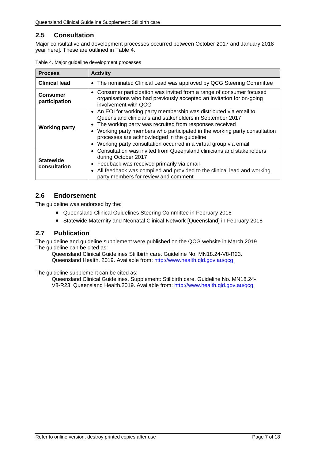# <span id="page-6-0"></span>**2.5 Consultation**

Major consultative and development processes occurred between October 2017 and January 2018 year here]. These are outlined in [Table 4.](#page-6-3)

| <b>Process</b>                                                                                                                                                                                                                                                                                                                                                                                                   | <b>Activity</b>                                                                                                                                                       |
|------------------------------------------------------------------------------------------------------------------------------------------------------------------------------------------------------------------------------------------------------------------------------------------------------------------------------------------------------------------------------------------------------------------|-----------------------------------------------------------------------------------------------------------------------------------------------------------------------|
| <b>Clinical lead</b>                                                                                                                                                                                                                                                                                                                                                                                             | • The nominated Clinical Lead was approved by QCG Steering Committee                                                                                                  |
| <b>Consumer</b><br>participation                                                                                                                                                                                                                                                                                                                                                                                 | • Consumer participation was invited from a range of consumer focused<br>organisations who had previously accepted an invitation for on-going<br>involvement with QCG |
| • An EOI for working party membership was distributed via email to<br>Queensland clinicians and stakeholders in September 2017<br>The working party was recruited from responses received<br><b>Working party</b><br>Working party members who participated in the working party consultation<br>processes are acknowledged in the guideline<br>Working party consultation occurred in a virtual group via email |                                                                                                                                                                       |
| • Consultation was invited from Queensland clinicians and stakeholders<br>during October 2017<br><b>Statewide</b><br>Feedback was received primarily via email<br>$\bullet$<br>consultation<br>All feedback was compiled and provided to the clinical lead and working<br>$\bullet$<br>party members for review and comment                                                                                      |                                                                                                                                                                       |

<span id="page-6-3"></span>

|  |  |  | Table 4. Major guideline development processes |  |
|--|--|--|------------------------------------------------|--|
|--|--|--|------------------------------------------------|--|

## <span id="page-6-1"></span>**2.6 Endorsement**

The guideline was endorsed by the:

- Queensland Clinical Guidelines Steering Committee in February 2018
- Statewide Maternity and Neonatal Clinical Network [Queensland] in February 2018

#### <span id="page-6-2"></span>**2.7 Publication**

The guideline and guideline supplement were published on the QCG website in March 2019 The guideline can be cited as:

Queensland Clinical Guidelines Stillbirth care. Guideline No. MN18.24-V8-R23. Queensland Health. 2019. Available from: <http://www.health.qld.gov.au/qcg>

The guideline supplement can be cited as:

Queensland Clinical Guidelines. Supplement: Stillbirth care. Guideline No. MN18.24- V8-R23. Queensland Health.2019. Available from:<http://www.health.qld.gov.au/qcg>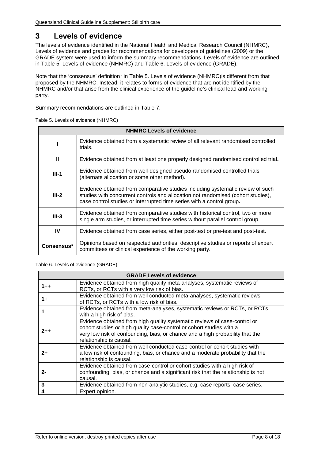# <span id="page-7-0"></span>**3 Levels of evidence**

The levels of evidence identified in the National Health and Medical Research Council (NHMRC), Levels of evidence and grades for recommendations for developers of guidelines (2009) or the GRADE system were used to inform the summary recommendations. Levels of evidence are outlined in [Table 5. Levels of evidence](#page-7-1) (NHMRC) and [Table 6. Levels of evidence](#page-7-2) (GRADE).

Note that the 'consensus' definition\* in [Table 5. Levels of evidence](#page-7-1) (NHMRC)is different from that proposed by the NHMRC. Instead, it relates to forms of evidence that are not identified by the NHMRC and/or that arise from the clinical experience of the guideline's clinical lead and working party.

<span id="page-7-1"></span>Summary recommendations are outlined in [Table 7.](#page-8-1)

| <b>NHMRC Levels of evidence</b> |                                                                                                                                                                                                                                             |  |  |
|---------------------------------|---------------------------------------------------------------------------------------------------------------------------------------------------------------------------------------------------------------------------------------------|--|--|
|                                 | Evidence obtained from a systematic review of all relevant randomised controlled<br>trials.                                                                                                                                                 |  |  |
| Ш                               | Evidence obtained from at least one properly designed randomised controlled trial.                                                                                                                                                          |  |  |
| $III-1$                         | Evidence obtained from well-designed pseudo randomised controlled trials<br>(alternate allocation or some other method).                                                                                                                    |  |  |
| $III-2$                         | Evidence obtained from comparative studies including systematic review of such<br>studies with concurrent controls and allocation not randomised (cohort studies),<br>case control studies or interrupted time series with a control group. |  |  |
| $III-3$                         | Evidence obtained from comparative studies with historical control, two or more<br>single arm studies, or interrupted time series without parallel control group.                                                                           |  |  |
| IV                              | Evidence obtained from case series, either post-test or pre-test and post-test.                                                                                                                                                             |  |  |
| Consensus*                      | Opinions based on respected authorities, descriptive studies or reports of expert<br>committees or clinical experience of the working party.                                                                                                |  |  |

Table 5. Levels of evidence (NHMRC)

#### <span id="page-7-2"></span>Table 6. Levels of evidence (GRADE)

|         | <b>GRADE Levels of evidence</b>                                                                                                                                                                                                                               |
|---------|---------------------------------------------------------------------------------------------------------------------------------------------------------------------------------------------------------------------------------------------------------------|
| $1 + +$ | Evidence obtained from high quality meta-analyses, systematic reviews of<br>RCTs, or RCTs with a very low risk of bias.                                                                                                                                       |
| 1+      | Evidence obtained from well conducted meta-analyses, systematic reviews<br>of RCTs, or RCTs with a low risk of bias.                                                                                                                                          |
|         | Evidence obtained from meta-analyses, systematic reviews or RCTs, or RCTs<br>with a high risk of bias.                                                                                                                                                        |
| $2 + +$ | Evidence obtained from high quality systematic reviews of case-control or<br>cohort studies or high quality case-control or cohort studies with a<br>very low risk of confounding, bias, or chance and a high probability that the<br>relationship is causal. |
| 2+      | Evidence obtained from well conducted case-control or cohort studies with<br>a low risk of confounding, bias, or chance and a moderate probability that the<br>relationship is causal.                                                                        |
| 2-      | Evidence obtained from case-control or cohort studies with a high risk of<br>confounding, bias, or chance and a significant risk that the relationship is not<br>causal.                                                                                      |
| 3       | Evidence obtained from non-analytic studies, e.g. case reports, case series.                                                                                                                                                                                  |
| 4       | Expert opinion.                                                                                                                                                                                                                                               |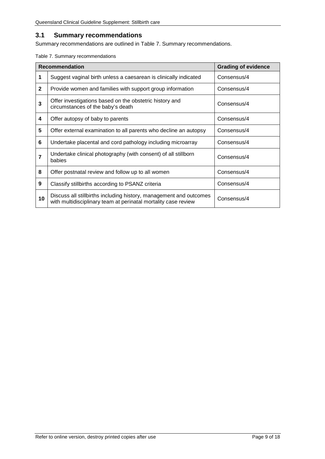# <span id="page-8-0"></span>**3.1 Summary recommendations**

<span id="page-8-1"></span>Summary recommendations are outlined in [Table 7. Summary recommendations.](#page-8-1) 

|  |  |  | Table 7. Summary recommendations |
|--|--|--|----------------------------------|
|--|--|--|----------------------------------|

|                | <b>Recommendation</b>                                                                                                                | <b>Grading of evidence</b> |
|----------------|--------------------------------------------------------------------------------------------------------------------------------------|----------------------------|
| 1              | Suggest vaginal birth unless a caesarean is clinically indicated                                                                     | Consensus/4                |
| $\mathbf{2}$   | Provide women and families with support group information                                                                            | Consensus/4                |
| 3              | Offer investigations based on the obstetric history and<br>circumstances of the baby's death                                         | Consensus/4                |
| 4              | Offer autopsy of baby to parents                                                                                                     | Consensus/4                |
| 5              | Offer external examination to all parents who decline an autopsy                                                                     | Consensus/4                |
| 6              | Undertake placental and cord pathology including microarray                                                                          | Consensus/4                |
| $\overline{7}$ | Undertake clinical photography (with consent) of all stillborn<br>babies                                                             | Consensus/4                |
| 8              | Offer postnatal review and follow up to all women                                                                                    | Consensus/4                |
| 9              | Classify stillbirths according to PSANZ criteria                                                                                     | Consensus/4                |
| 10             | Discuss all stillbirths including history, management and outcomes<br>with multidisciplinary team at perinatal mortality case review | Consensus/4                |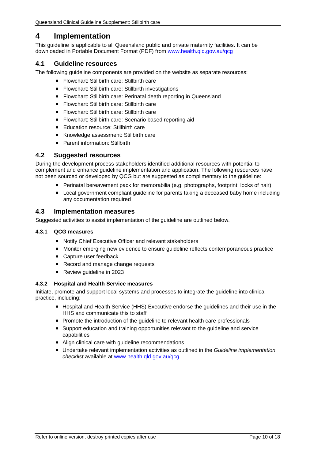# <span id="page-9-0"></span>**4 Implementation**

This guideline is applicable to all Queensland public and private maternity facilities. It can be downloaded in Portable Document Format (PDF) from [www.health.qld.gov.au/qcg](http://www.health.qld.gov.au/qcg)

### <span id="page-9-1"></span>**4.1 Guideline resources**

The following guideline components are provided on the website as separate resources:

- Flowchart: Stillbirth care: Stillbirth care
- Flowchart: Stillbirth care: Stillbirth investigations
- Flowchart: Stillbirth care: Perinatal death reporting in Queensland
- Flowchart: Stillbirth care: Stillbirth care
- Flowchart: Stillbirth care: Stillbirth care
- Flowchart: Stillbirth care: Scenario based reporting aid
- Education resource: Stillbirth care
- Knowledge assessment: Stillbirth care
- Parent information: Stillbirth

#### <span id="page-9-2"></span>**4.2 Suggested resources**

During the development process stakeholders identified additional resources with potential to complement and enhance guideline implementation and application. The following resources have not been sourced or developed by QCG but are suggested as complimentary to the guideline:

- Perinatal bereavement pack for memorabilia (e.g. photographs, footprint, locks of hair)
- Local government compliant guideline for parents taking a deceased baby home including any documentation required

#### <span id="page-9-3"></span>**4.3 Implementation measures**

Suggested activities to assist implementation of the guideline are outlined below.

#### <span id="page-9-4"></span>**4.3.1 QCG measures**

- Notify Chief Executive Officer and relevant stakeholders
- Monitor emerging new evidence to ensure guideline reflects contemporaneous practice
- Capture user feedback
- Record and manage change requests
- Review guideline in 2023

#### <span id="page-9-5"></span>**4.3.2 Hospital and Health Service measures**

Initiate, promote and support local systems and processes to integrate the guideline into clinical practice, including:

- Hospital and Health Service (HHS) Executive endorse the guidelines and their use in the HHS and communicate this to staff
- Promote the introduction of the guideline to relevant health care professionals
- Support education and training opportunities relevant to the guideline and service capabilities
- Align clinical care with guideline recommendations
- Undertake relevant implementation activities as outlined in the *Guideline implementation checklist* available at [www.health.qld.gov.au/qcg](http://www.health.qld.gov.au/qcg)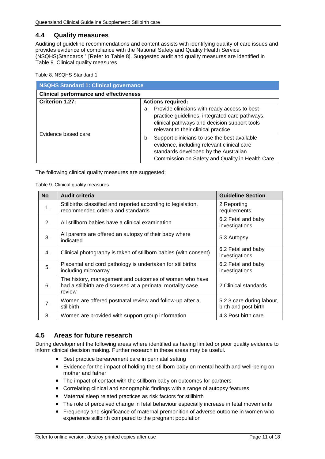#### <span id="page-10-0"></span>**4.4 Quality measures**

Auditing of guideline recommendations and content assists with identifying quality of care issues and provides evidence of compliance with the National Safety and Quality Health Service (NSQHS)Standards <sup>1</sup> [Refer to [Table 8\]](#page-10-2). Suggested audit and quality measures are identified in [Table 9. Clinical quality measures.](#page-10-3)

<span id="page-10-2"></span>Table 8. NSQHS Standard 1

| <b>NSQHS Standard 1: Clinical governance</b>  |                                                                                                                                                                                              |  |
|-----------------------------------------------|----------------------------------------------------------------------------------------------------------------------------------------------------------------------------------------------|--|
| <b>Clinical performance and effectiveness</b> |                                                                                                                                                                                              |  |
| Criterion 1.27:                               | <b>Actions required:</b>                                                                                                                                                                     |  |
|                                               | Provide clinicians with ready access to best-<br>а.<br>practice guidelines, integrated care pathways,<br>clinical pathways and decision support tools<br>relevant to their clinical practice |  |
| Evidence based care                           | Support clinicians to use the best available<br>b.<br>evidence, including relevant clinical care<br>standards developed by the Australian<br>Commission on Safety and Quality in Health Care |  |

<span id="page-10-3"></span>The following clinical quality measures are suggested:

Table 9. Clinical quality measures

| <b>No</b>        | <b>Audit criteria</b>                                                                                                            | <b>Guideline Section</b>                          |
|------------------|----------------------------------------------------------------------------------------------------------------------------------|---------------------------------------------------|
| $\mathbf{1}$ .   | Stillbirths classified and reported according to legislation,<br>recommended criteria and standards                              | 2 Reporting<br>requirements                       |
| 2.               | All stillborn babies have a clinical examination                                                                                 | 6.2 Fetal and baby<br>investigations              |
| 3.               | All parents are offered an autopsy of their baby where<br>indicated                                                              | 5.3 Autopsy                                       |
| 4.               | Clinical photography is taken of stillborn babies (with consent)                                                                 | 6.2 Fetal and baby<br>investigations              |
| 5.               | Placental and cord pathology is undertaken for stillbirths<br>including microarray                                               | 6.2 Fetal and baby<br>investigations              |
| 6.               | The history, management and outcomes of women who have<br>had a stillbirth are discussed at a perinatal mortality case<br>review | 2 Clinical standards                              |
| $\overline{7}$ . | Women are offered postnatal review and follow-up after a<br>stillbirth                                                           | 5.2.3 care during labour,<br>birth and post birth |
| 8.               | Women are provided with support group information                                                                                | 4.3 Post birth care                               |

## <span id="page-10-1"></span>**4.5 Areas for future research**

During development the following areas where identified as having limited or poor quality evidence to inform clinical decision making. Further research in these areas may be useful.

- Best practice bereavement care in perinatal setting
- Evidence for the impact of holding the stillborn baby on mental health and well-being on mother and father
- The impact of contact with the stillborn baby on outcomes for partners
- Correlating clinical and sonographic findings with a range of autopsy features
- Maternal sleep related practices as risk factors for stillbirth
- The role of perceived change in fetal behaviour especially increase in fetal movements
- Frequency and significance of maternal premonition of adverse outcome in women who experience stillbirth compared to the pregnant population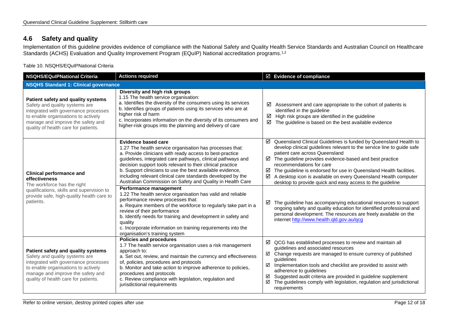# **4.6 Safety and quality**

Implementation of this guideline provides evidence of compliance with the National Safety and Quality Health Service Standards and Australian Council on Healthcare Standards (ACHS) Evaluation and Quality Improvement Program (EQuIP) National accreditation programs.1,2

Table 10. NSQHS/EQuIPNational Criteria

<span id="page-11-1"></span><span id="page-11-0"></span>

| <b>NSQHS/EQuIPNational Criteria</b>                                                                                                                                                                                              | <b>Actions required</b>                                                                                                                                                                                                                                                                                                                                                                                                                                                                                                                                                                                                                                                                                                                                                                                                                                                          | $\boxtimes$ Evidence of compliance                                                                                                                                                                                                                                                                                                                                                                                                                                                                                                                                                                                                                                                                                                                  |
|----------------------------------------------------------------------------------------------------------------------------------------------------------------------------------------------------------------------------------|----------------------------------------------------------------------------------------------------------------------------------------------------------------------------------------------------------------------------------------------------------------------------------------------------------------------------------------------------------------------------------------------------------------------------------------------------------------------------------------------------------------------------------------------------------------------------------------------------------------------------------------------------------------------------------------------------------------------------------------------------------------------------------------------------------------------------------------------------------------------------------|-----------------------------------------------------------------------------------------------------------------------------------------------------------------------------------------------------------------------------------------------------------------------------------------------------------------------------------------------------------------------------------------------------------------------------------------------------------------------------------------------------------------------------------------------------------------------------------------------------------------------------------------------------------------------------------------------------------------------------------------------------|
| <b>NSQHS Standard 1: Clinical governance</b>                                                                                                                                                                                     |                                                                                                                                                                                                                                                                                                                                                                                                                                                                                                                                                                                                                                                                                                                                                                                                                                                                                  |                                                                                                                                                                                                                                                                                                                                                                                                                                                                                                                                                                                                                                                                                                                                                     |
| Patient safety and quality systems<br>Safety and quality systems are<br>integrated with governance processes<br>to enable organisations to actively<br>manage and improve the safety and<br>quality of health care for patients. | Diversity and high risk groups<br>1.15 The health service organisation:<br>a. Identifies the diversity of the consumers using its services<br>b. Identifies groups of patients using its services who are at<br>higher risk of harm<br>c. Incorporates information on the diversity of its consumers and<br>higher-risk groups into the planning and delivery of care                                                                                                                                                                                                                                                                                                                                                                                                                                                                                                            | Assessment and care appropriate to the cohort of patients is<br>identified in the guideline<br>☑<br>High risk groups are identified in the guideline<br>The guideline is based on the best available evidence<br>☑                                                                                                                                                                                                                                                                                                                                                                                                                                                                                                                                  |
| <b>Clinical performance and</b><br>effectiveness<br>The workforce has the right<br>qualifications, skills and supervision to<br>provide safe, high-quality health care to<br>patients.                                           | Evidence based care<br>1.27 The health service organisation has processes that:<br>a. Provide clinicians with ready access to best-practice<br>guidelines, integrated care pathways, clinical pathways and<br>decision support tools relevant to their clinical practice<br>b. Support clinicians to use the best available evidence,<br>including relevant clinical care standards developed by the<br>Australian Commission on Safety and Quality in Health Care<br>Performance management<br>1.22 The health service organisation has valid and reliable<br>performance review processes that:<br>a. Require members of the workforce to regularly take part in a<br>review of their performance<br>b. Identify needs for training and development in safety and<br>quality<br>c. Incorporate information on training requirements into the<br>organisation's training system | Queensland Clinical Guidelines is funded by Queensland Health to<br>☑<br>develop clinical guidelines relevant to the service line to guide safe<br>patient care across Queensland<br>The guideline provides evidence-based and best practice<br>☑<br>recommendations for care<br>The guideline is endorsed for use in Queensland Health facilities.<br>A desktop icon is available on every Queensland Health computer<br>desktop to provide quick and easy access to the guideline<br>The guideline has accompanying educational resources to support<br>☑<br>ongoing safety and quality education for identified professional and<br>personal development. The resources are freely available on the<br>internet http://www.health.qld.gov.au/qcg |
| Patient safety and quality systems<br>Safety and quality systems are<br>integrated with governance processes<br>to enable organisations to actively<br>manage and improve the safety and<br>quality of health care for patients. | <b>Policies and procedures</b><br>1.7 The health service organisation uses a risk management<br>approach to:<br>a. Set out, review, and maintain the currency and effectiveness<br>of, policies, procedures and protocols<br>b. Monitor and take action to improve adherence to policies,<br>procedures and protocols<br>c. Review compliance with legislation, regulation and<br>jurisdictional requirements                                                                                                                                                                                                                                                                                                                                                                                                                                                                    | ☑<br>QCG has established processes to review and maintain all<br>guidelines and associated resources<br>Change requests are managed to ensure currency of published<br>guidelines<br>Implementation tools and checklist are provided to assist with<br>☑<br>adherence to guidelines<br>Suggested audit criteria are provided in guideline supplement<br>☑<br>☑<br>The guidelines comply with legislation, regulation and jurisdictional<br>requirements                                                                                                                                                                                                                                                                                             |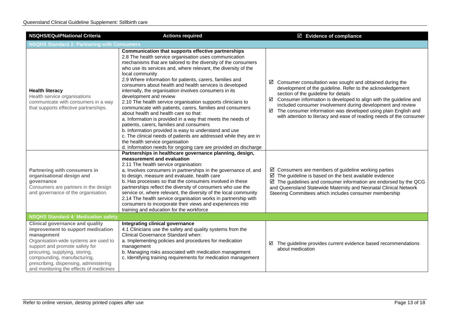| <b>NSQHS/EQulPNational Criteria</b>                                                                                                                                                                                                                                                                                        | <b>Actions required</b>                                                                                                                                                                                                                                                                                                                                                                                                                                                                                                                                                                                                                                                                                                                                                                                                                                                                                                                                                                            | $\boxtimes$ Evidence of compliance                                                                                                                                                                                                                                                                                                                                                                                                                                 |  |  |
|----------------------------------------------------------------------------------------------------------------------------------------------------------------------------------------------------------------------------------------------------------------------------------------------------------------------------|----------------------------------------------------------------------------------------------------------------------------------------------------------------------------------------------------------------------------------------------------------------------------------------------------------------------------------------------------------------------------------------------------------------------------------------------------------------------------------------------------------------------------------------------------------------------------------------------------------------------------------------------------------------------------------------------------------------------------------------------------------------------------------------------------------------------------------------------------------------------------------------------------------------------------------------------------------------------------------------------------|--------------------------------------------------------------------------------------------------------------------------------------------------------------------------------------------------------------------------------------------------------------------------------------------------------------------------------------------------------------------------------------------------------------------------------------------------------------------|--|--|
| <b>NSQHS Standard 2: Partnering with Consumers</b>                                                                                                                                                                                                                                                                         |                                                                                                                                                                                                                                                                                                                                                                                                                                                                                                                                                                                                                                                                                                                                                                                                                                                                                                                                                                                                    |                                                                                                                                                                                                                                                                                                                                                                                                                                                                    |  |  |
| <b>Health literacy</b><br>Health service organisations<br>communicate with consumers in a way<br>that supports effective partnerships.                                                                                                                                                                                     | Communication that supports effective partnerships<br>2.8 The health service organisation uses communication<br>mechanisms that are tailored to the diversity of the consumers<br>who use its services and, where relevant, the diversity of the<br>local community<br>2.9 Where information for patients, carers, families and<br>consumers about health and health services is developed<br>internally, the organisation involves consumers in its<br>development and review<br>2.10 The health service organisation supports clinicians to<br>communicate with patients, carers, families and consumers<br>about health and health care so that:<br>a. Information is provided in a way that meets the needs of<br>patients, carers, families and consumers<br>b. Information provided is easy to understand and use<br>c. The clinical needs of patients are addressed while they are in<br>the health service organisation<br>d. Information needs for ongoing care are provided on discharge | $\boxtimes$ Consumer consultation was sought and obtained during the<br>development of the guideline. Refer to the acknowledgement<br>section of the guideline for details<br>Consumer information is developed to align with the guideline and<br>☑<br>included consumer involvement during development and review<br>The consumer information was developed using plain English and<br>☑<br>with attention to literacy and ease of reading needs of the consumer |  |  |
| Partnering with consumers in<br>organisational design and<br>governance<br>Consumers are partners in the design<br>and governance of the organisation.                                                                                                                                                                     | Partnerships in healthcare governance planning, design,<br>measurement and evaluation<br>2.11 The health service organisation:<br>a. Involves consumers in partnerships in the governance of, and<br>to design, measure and evaluate, health care<br>b. Has processes so that the consumers involved in these<br>partnerships reflect the diversity of consumers who use the<br>service or, where relevant, the diversity of the local community<br>2.14 The health service organisation works in partnership with<br>consumers to incorporate their views and experiences into<br>training and education for the workforce                                                                                                                                                                                                                                                                                                                                                                        | $\boxtimes$ Consumers are members of guideline working parties<br>The guideline is based on the best available evidence<br>The guidelines and consumer information are endorsed by the QCG<br>and Queensland Statewide Maternity and Neonatal Clinical Network<br>Steering Committees which includes consumer membership                                                                                                                                           |  |  |
| <b>NSQHS Standard 4: Medication safety</b>                                                                                                                                                                                                                                                                                 |                                                                                                                                                                                                                                                                                                                                                                                                                                                                                                                                                                                                                                                                                                                                                                                                                                                                                                                                                                                                    |                                                                                                                                                                                                                                                                                                                                                                                                                                                                    |  |  |
| <b>Clinical governance and quality</b><br>improvement to support medication<br>management<br>Organisation-wide systems are used to<br>support and promote safety for<br>procuring, supplying, storing,<br>compounding, manufacturing,<br>prescribing, dispensing, administering<br>and monitoring the effects of medicines | Integrating clinical governance<br>4.1 Clinicians use the safety and quality systems from the<br>Clinical Governance Standard when:<br>a. Implementing policies and procedures for medication<br>management<br>b. Managing risks associated with medication management<br>c. Identifying training requirements for medication management                                                                                                                                                                                                                                                                                                                                                                                                                                                                                                                                                                                                                                                           | The guideline provides current evidence based recommendations<br>☑<br>about medication                                                                                                                                                                                                                                                                                                                                                                             |  |  |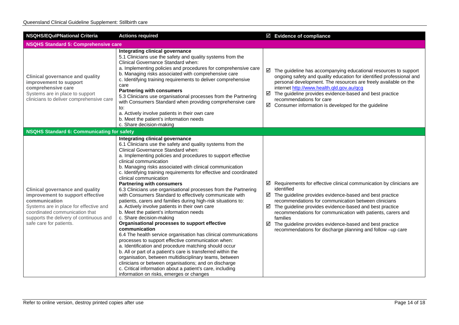| <b>NSQHS/EQuIPNational Criteria</b>                                                                                                                                                                                                           | <b>Actions required</b>                                                                                                                                                                                                                                                                                                                                                                                                                                                                                                                                                                                                                                                                                                                                                                                                                                                                                                                                                                                                                                                                                                                                                                                                                                                                               |             | $\boxtimes$ Evidence of compliance                                                                                                                                                                                                                                                                                                                                                                                                                                              |
|-----------------------------------------------------------------------------------------------------------------------------------------------------------------------------------------------------------------------------------------------|-------------------------------------------------------------------------------------------------------------------------------------------------------------------------------------------------------------------------------------------------------------------------------------------------------------------------------------------------------------------------------------------------------------------------------------------------------------------------------------------------------------------------------------------------------------------------------------------------------------------------------------------------------------------------------------------------------------------------------------------------------------------------------------------------------------------------------------------------------------------------------------------------------------------------------------------------------------------------------------------------------------------------------------------------------------------------------------------------------------------------------------------------------------------------------------------------------------------------------------------------------------------------------------------------------|-------------|---------------------------------------------------------------------------------------------------------------------------------------------------------------------------------------------------------------------------------------------------------------------------------------------------------------------------------------------------------------------------------------------------------------------------------------------------------------------------------|
| <b>NSQHS Standard 5: Comprehensive care</b>                                                                                                                                                                                                   |                                                                                                                                                                                                                                                                                                                                                                                                                                                                                                                                                                                                                                                                                                                                                                                                                                                                                                                                                                                                                                                                                                                                                                                                                                                                                                       |             |                                                                                                                                                                                                                                                                                                                                                                                                                                                                                 |
| <b>Clinical governance and quality</b><br>improvement to support<br>comprehensive care<br>Systems are in place to support<br>clinicians to deliver comprehensive care                                                                         | Integrating clinical governance<br>5.1 Clinicians use the safety and quality systems from the<br>Clinical Governance Standard when:<br>a. Implementing policies and procedures for comprehensive care<br>b. Managing risks associated with comprehensive care<br>c. Identifying training requirements to deliver comprehensive<br>care<br><b>Partnering with consumers</b><br>5.3 Clinicians use organisational processes from the Partnering<br>with Consumers Standard when providing comprehensive care<br>to:<br>a. Actively involve patients in their own care<br>b. Meet the patient's information needs<br>c. Share decision-making                                                                                                                                                                                                                                                                                                                                                                                                                                                                                                                                                                                                                                                            | ☑<br>☑<br>☑ | The guideline has accompanying educational resources to support<br>ongoing safety and quality education for identified professional and<br>personal development. The resources are freely available on the<br>internet http://www.health.qld.gov.au/qcg<br>The guideline provides evidence-based and best practice<br>recommendations for care<br>Consumer information is developed for the guideline                                                                           |
| <b>NSQHS Standard 6: Communicating for safety</b>                                                                                                                                                                                             |                                                                                                                                                                                                                                                                                                                                                                                                                                                                                                                                                                                                                                                                                                                                                                                                                                                                                                                                                                                                                                                                                                                                                                                                                                                                                                       |             |                                                                                                                                                                                                                                                                                                                                                                                                                                                                                 |
| <b>Clinical governance and quality</b><br>improvement to support effective<br>communication<br>Systems are in place for effective and<br>coordinated communication that<br>supports the delivery of continuous and<br>safe care for patients. | Integrating clinical governance<br>6.1 Clinicians use the safety and quality systems from the<br>Clinical Governance Standard when:<br>a. Implementing policies and procedures to support effective<br>clinical communication<br>b. Managing risks associated with clinical communication<br>c. Identifying training requirements for effective and coordinated<br>clinical communication<br><b>Partnering with consumers</b><br>6.3 Clinicians use organisational processes from the Partnering<br>with Consumers Standard to effectively communicate with<br>patients, carers and families during high-risk situations to:<br>a. Actively involve patients in their own care<br>b. Meet the patient's information needs<br>c. Share decision-making<br>Organisational processes to support effective<br>communication<br>6.4 The health service organisation has clinical communications<br>processes to support effective communication when:<br>a. Identification and procedure matching should occur<br>b. All or part of a patient's care is transferred within the<br>organisation, between multidisciplinary teams, between<br>clinicians or between organisations; and on discharge<br>c. Critical information about a patient's care, including<br>information on risks, emerges or changes | ☑<br>☑<br>☑ | Requirements for effective clinical communication by clinicians are<br>identified<br>$\boxtimes$ The guideline provides evidence-based and best practice<br>recommendations for communication between clinicians<br>The guideline provides evidence-based and best practice<br>recommendations for communication with patients, carers and<br>families<br>The guideline provides evidence-based and best practice<br>recommendations for discharge planning and follow -up care |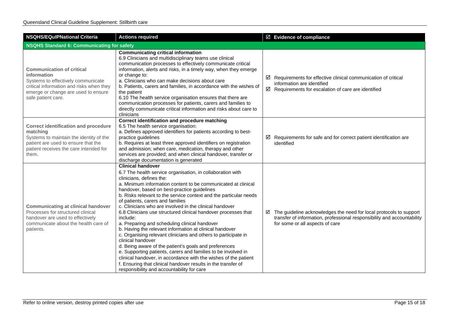| <b>NSQHS/EQuIPNational Criteria</b>                                                                                                                                                            | <b>Actions required</b>                                                                                                                                                                                                                                                                                                                                                                                                                                                                                                                                                                                                                                                                                                                                                                                                                                                                                                                                                                             | $\boxtimes$ Evidence of compliance                                                                                                                                               |
|------------------------------------------------------------------------------------------------------------------------------------------------------------------------------------------------|-----------------------------------------------------------------------------------------------------------------------------------------------------------------------------------------------------------------------------------------------------------------------------------------------------------------------------------------------------------------------------------------------------------------------------------------------------------------------------------------------------------------------------------------------------------------------------------------------------------------------------------------------------------------------------------------------------------------------------------------------------------------------------------------------------------------------------------------------------------------------------------------------------------------------------------------------------------------------------------------------------|----------------------------------------------------------------------------------------------------------------------------------------------------------------------------------|
| <b>NSQHS Standard 6: Communicating for safety</b>                                                                                                                                              |                                                                                                                                                                                                                                                                                                                                                                                                                                                                                                                                                                                                                                                                                                                                                                                                                                                                                                                                                                                                     |                                                                                                                                                                                  |
| <b>Communication of critical</b><br>information<br>Systems to effectively communicate<br>critical information and risks when they<br>emerge or change are used to ensure<br>safe patient care. | <b>Communicating critical information</b><br>6.9 Clinicians and multidisciplinary teams use clinical<br>communication processes to effectively communicate critical<br>information, alerts and risks, in a timely way, when they emerge<br>or change to:<br>a. Clinicians who can make decisions about care<br>b. Patients, carers and families, in accordance with the wishes of<br>the patient<br>6.10 The health service organisation ensures that there are<br>communication processes for patients, carers and families to<br>directly communicate critical information and risks about care to<br>clinicians                                                                                                                                                                                                                                                                                                                                                                                  | Requirements for effective clinical communication of critical<br>information are identified<br>☑<br>Requirements for escalation of care are identified                           |
| <b>Correct identification and procedure</b><br>matching<br>Systems to maintain the identity of the<br>patient are used to ensure that the<br>patient receives the care intended for<br>them.   | Correct identification and procedure matching<br>6.5 The health service organisation:<br>a. Defines approved identifiers for patients according to best-<br>practice guidelines<br>b. Requires at least three approved identifiers on registration<br>and admission; when care, medication, therapy and other<br>services are provided; and when clinical handover, transfer or<br>discharge documentation is generated                                                                                                                                                                                                                                                                                                                                                                                                                                                                                                                                                                             | Requirements for safe and for correct patient identification are<br>identified                                                                                                   |
| <b>Communicating at clinical handover</b><br>Processes for structured clinical<br>handover are used to effectively<br>communicate about the health care of<br>patients.                        | <b>Clinical handover</b><br>6.7 The health service organisation, in collaboration with<br>clinicians, defines the:<br>a. Minimum information content to be communicated at clinical<br>handover, based on best-practice guidelines<br>b. Risks relevant to the service context and the particular needs<br>of patients, carers and families<br>c. Clinicians who are involved in the clinical handover<br>6.8 Clinicians use structured clinical handover processes that<br>include:<br>a. Preparing and scheduling clinical handover<br>b. Having the relevant information at clinical handover<br>c. Organising relevant clinicians and others to participate in<br>clinical handover<br>d. Being aware of the patient's goals and preferences<br>e. Supporting patients, carers and families to be involved in<br>clinical handover, in accordance with the wishes of the patient<br>f. Ensuring that clinical handover results in the transfer of<br>responsibility and accountability for care | The guideline acknowledges the need for local protocols to support<br>transfer of information, professional responsibility and accountability<br>for some or all aspects of care |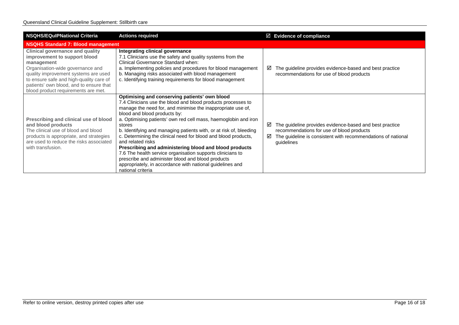| <b>NSQHS/EQuIPNational Criteria</b>                                                                                                                                                                                                                                                           | <b>Actions required</b>                                                                                                                                                                                                                                                                                                                                                                                                                                                                                                                                                                                                                                                                                               | $\boxtimes$ Evidence of compliance                                                                                                                                                           |
|-----------------------------------------------------------------------------------------------------------------------------------------------------------------------------------------------------------------------------------------------------------------------------------------------|-----------------------------------------------------------------------------------------------------------------------------------------------------------------------------------------------------------------------------------------------------------------------------------------------------------------------------------------------------------------------------------------------------------------------------------------------------------------------------------------------------------------------------------------------------------------------------------------------------------------------------------------------------------------------------------------------------------------------|----------------------------------------------------------------------------------------------------------------------------------------------------------------------------------------------|
| <b>NSQHS Standard 7: Blood management</b>                                                                                                                                                                                                                                                     |                                                                                                                                                                                                                                                                                                                                                                                                                                                                                                                                                                                                                                                                                                                       |                                                                                                                                                                                              |
| <b>Clinical governance and quality</b><br>improvement to support blood<br>management<br>Organisation-wide governance and<br>quality improvement systems are used<br>to ensure safe and high-quality care of<br>patients' own blood, and to ensure that<br>blood product requirements are met. | Integrating clinical governance<br>7.1 Clinicians use the safety and quality systems from the<br>Clinical Governance Standard when:<br>a. Implementing policies and procedures for blood management<br>b. Managing risks associated with blood management<br>c. Identifying training requirements for blood management                                                                                                                                                                                                                                                                                                                                                                                                | The guideline provides evidence-based and best practice<br>⊻<br>recommendations for use of blood products                                                                                    |
| Prescribing and clinical use of blood<br>and blood products<br>The clinical use of blood and blood<br>products is appropriate, and strategies<br>are used to reduce the risks associated<br>with transfusion.                                                                                 | Optimising and conserving patients' own blood<br>7.4 Clinicians use the blood and blood products processes to<br>manage the need for, and minimise the inappropriate use of,<br>blood and blood products by:<br>a. Optimising patients' own red cell mass, haemoglobin and iron<br>stores<br>b. Identifying and managing patients with, or at risk of, bleeding<br>c. Determining the clinical need for blood and blood products,<br>and related risks<br>Prescribing and administering blood and blood products<br>7.6 The health service organisation supports clinicians to<br>prescribe and administer blood and blood products<br>appropriately, in accordance with national guidelines and<br>national criteria | The guideline provides evidence-based and best practice<br>☑<br>recommendations for use of blood products<br>The guideline is consistent with recommendations of national<br>☑<br>guidelines |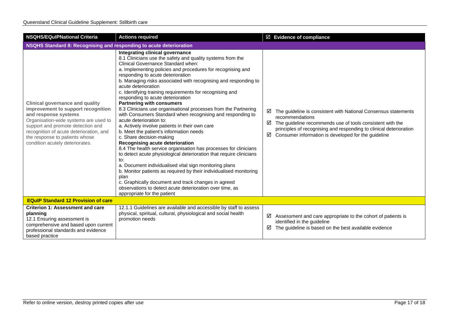| <b>NSQHS/EQulPNational Criteria</b>                                                                                                                                                                                                                                                                | <b>Actions required</b>                                                                                                                                                                                                                                                                                                                                                                                                                                                                                                                                                                                                                                                                                                                                                                                                                                                                                                                                                                                                                                                                                                                                                                                                                    | $\boxtimes$ Evidence of compliance                                                                                                                                                                                                                                                         |
|----------------------------------------------------------------------------------------------------------------------------------------------------------------------------------------------------------------------------------------------------------------------------------------------------|--------------------------------------------------------------------------------------------------------------------------------------------------------------------------------------------------------------------------------------------------------------------------------------------------------------------------------------------------------------------------------------------------------------------------------------------------------------------------------------------------------------------------------------------------------------------------------------------------------------------------------------------------------------------------------------------------------------------------------------------------------------------------------------------------------------------------------------------------------------------------------------------------------------------------------------------------------------------------------------------------------------------------------------------------------------------------------------------------------------------------------------------------------------------------------------------------------------------------------------------|--------------------------------------------------------------------------------------------------------------------------------------------------------------------------------------------------------------------------------------------------------------------------------------------|
| NSQHS Standard 8: Recognising and responding to acute deterioration                                                                                                                                                                                                                                |                                                                                                                                                                                                                                                                                                                                                                                                                                                                                                                                                                                                                                                                                                                                                                                                                                                                                                                                                                                                                                                                                                                                                                                                                                            |                                                                                                                                                                                                                                                                                            |
| <b>Clinical governance and quality</b><br>improvement to support recognition<br>and response systems<br>Organisation-wide systems are used to<br>support and promote detection and<br>recognition of acute deterioration, and<br>the response to patients whose<br>condition acutely deteriorates. | Integrating clinical governance<br>8.1 Clinicians use the safety and quality systems from the<br>Clinical Governance Standard when:<br>a. Implementing policies and procedures for recognising and<br>responding to acute deterioration<br>b. Managing risks associated with recognising and responding to<br>acute deterioration<br>c. Identifying training requirements for recognising and<br>responding to acute deterioration<br><b>Partnering with consumers</b><br>8.3 Clinicians use organisational processes from the Partnering<br>with Consumers Standard when recognising and responding to<br>acute deterioration to:<br>a. Actively involve patients in their own care<br>b. Meet the patient's information needs<br>c. Share decision-making<br>Recognising acute deterioration<br>8.4 The health service organisation has processes for clinicians<br>to detect acute physiological deterioration that require clinicians<br>to:<br>a. Document individualised vital sign monitoring plans<br>b. Monitor patients as required by their individualised monitoring<br>plan<br>c. Graphically document and track changes in agreed<br>observations to detect acute deterioration over time, as<br>appropriate for the patient | ☑<br>The guideline is consistent with National Consensus statements<br>recommendations<br>The guideline recommends use of tools consistent with the<br>☑<br>principles of recognising and responding to clinical deterioration<br>Consumer information is developed for the guideline<br>☑ |
| <b>EQuIP Standard 12 Provision of care</b>                                                                                                                                                                                                                                                         |                                                                                                                                                                                                                                                                                                                                                                                                                                                                                                                                                                                                                                                                                                                                                                                                                                                                                                                                                                                                                                                                                                                                                                                                                                            |                                                                                                                                                                                                                                                                                            |
| <b>Criterion 1: Assessment and care</b><br>planning<br>12.1 Ensuring assessment is<br>comprehensive and based upon current<br>professional standards and evidence<br>based practice                                                                                                                | 12.1.1 Guidelines are available and accessible by staff to assess<br>physical, spiritual, cultural, physiological and social health<br>promotion needs                                                                                                                                                                                                                                                                                                                                                                                                                                                                                                                                                                                                                                                                                                                                                                                                                                                                                                                                                                                                                                                                                     | ☑<br>Assessment and care appropriate to the cohort of patients is<br>identified in the guideline<br>The guideline is based on the best available evidence<br>☑                                                                                                                             |